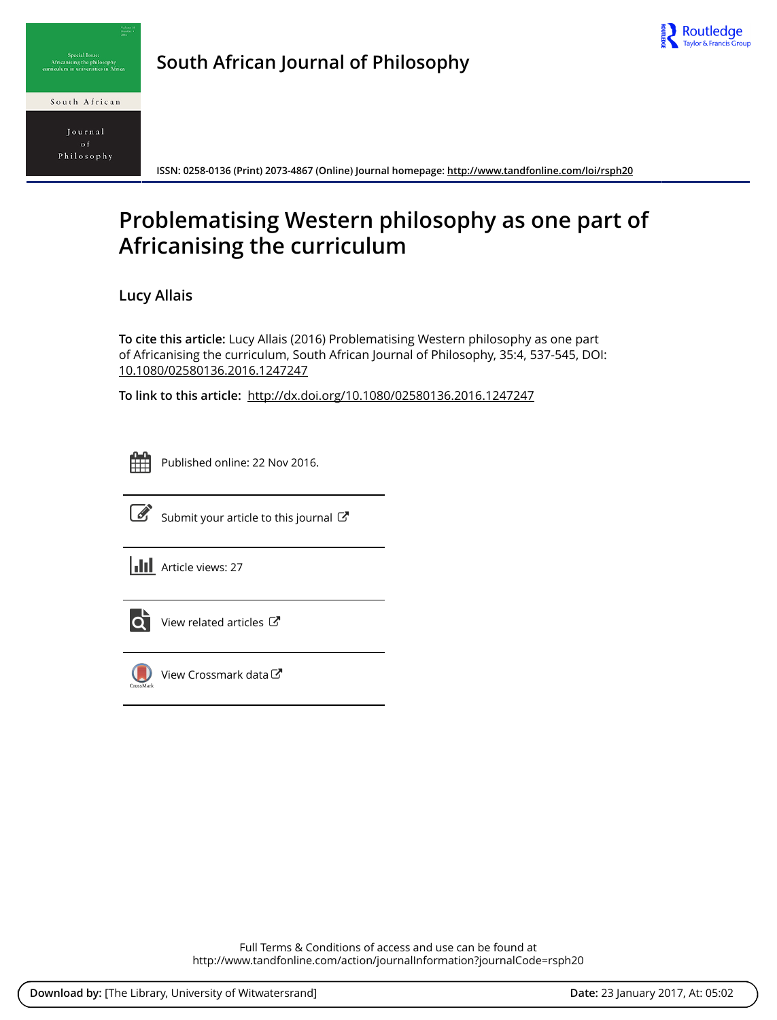

South African

Journal  $\circ$  f Philosophy **South African Journal of Philosophy**

**ISSN: 0258-0136 (Print) 2073-4867 (Online) Journal homepage:<http://www.tandfonline.com/loi/rsph20>**

# **Problematising Western philosophy as one part of Africanising the curriculum**

**Lucy Allais**

**To cite this article:** Lucy Allais (2016) Problematising Western philosophy as one part of Africanising the curriculum, South African Journal of Philosophy, 35:4, 537-545, DOI: [10.1080/02580136.2016.1247247](http://www.tandfonline.com/action/showCitFormats?doi=10.1080/02580136.2016.1247247)

**To link to this article:** <http://dx.doi.org/10.1080/02580136.2016.1247247>



Published online: 22 Nov 2016.



 $\overrightarrow{S}$  [Submit your article to this journal](http://www.tandfonline.com/action/authorSubmission?journalCode=rsph20&show=instructions)  $\overrightarrow{S}$ 

**Article views: 27** 



 $\overrightarrow{Q}$  [View related articles](http://www.tandfonline.com/doi/mlt/10.1080/02580136.2016.1247247)  $\overrightarrow{C}$ 



[View Crossmark data](http://crossmark.crossref.org/dialog/?doi=10.1080/02580136.2016.1247247&domain=pdf&date_stamp=2016-11-22)<sup>で</sup>

Full Terms & Conditions of access and use can be found at <http://www.tandfonline.com/action/journalInformation?journalCode=rsph20>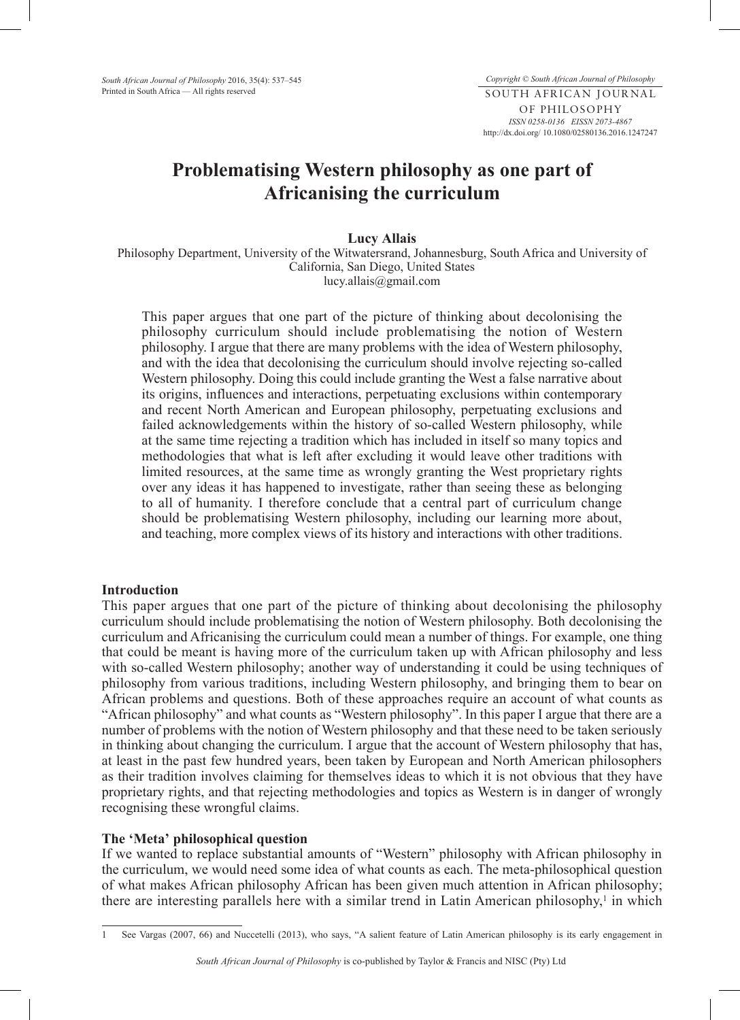# **Problematising Western philosophy as one part of Africanising the curriculum**

### **Lucy Allais**

Philosophy Department, University of the Witwatersrand, Johannesburg, South Africa and University of California, San Diego, United States lucy.allais@gmail.com

This paper argues that one part of the picture of thinking about decolonising the philosophy curriculum should include problematising the notion of Western philosophy. I argue that there are many problems with the idea of Western philosophy, and with the idea that decolonising the curriculum should involve rejecting so-called Western philosophy. Doing this could include granting the West a false narrative about its origins, influences and interactions, perpetuating exclusions within contemporary and recent North American and European philosophy, perpetuating exclusions and failed acknowledgements within the history of so-called Western philosophy, while at the same time rejecting a tradition which has included in itself so many topics and methodologies that what is left after excluding it would leave other traditions with limited resources, at the same time as wrongly granting the West proprietary rights over any ideas it has happened to investigate, rather than seeing these as belonging to all of humanity. I therefore conclude that a central part of curriculum change should be problematising Western philosophy, including our learning more about, and teaching, more complex views of its history and interactions with other traditions.

# **Introduction**

This paper argues that one part of the picture of thinking about decolonising the philosophy curriculum should include problematising the notion of Western philosophy. Both decolonising the curriculum and Africanising the curriculum could mean a number of things. For example, one thing that could be meant is having more of the curriculum taken up with African philosophy and less with so-called Western philosophy; another way of understanding it could be using techniques of philosophy from various traditions, including Western philosophy, and bringing them to bear on African problems and questions. Both of these approaches require an account of what counts as "African philosophy" and what counts as "Western philosophy". In this paper I argue that there are a number of problems with the notion of Western philosophy and that these need to be taken seriously in thinking about changing the curriculum. I argue that the account of Western philosophy that has, at least in the past few hundred years, been taken by European and North American philosophers as their tradition involves claiming for themselves ideas to which it is not obvious that they have proprietary rights, and that rejecting methodologies and topics as Western is in danger of wrongly recognising these wrongful claims.

# **The 'Meta' philosophical question**

If we wanted to replace substantial amounts of "Western" philosophy with African philosophy in the curriculum, we would need some idea of what counts as each. The meta-philosophical question of what makes African philosophy African has been given much attention in African philosophy; there are interesting parallels here with a similar trend in Latin American philosophy,<sup>1</sup> in which

<sup>1</sup> See Vargas (2007, 66) and Nuccetelli (2013), who says, "A salient feature of Latin American philosophy is its early engagement in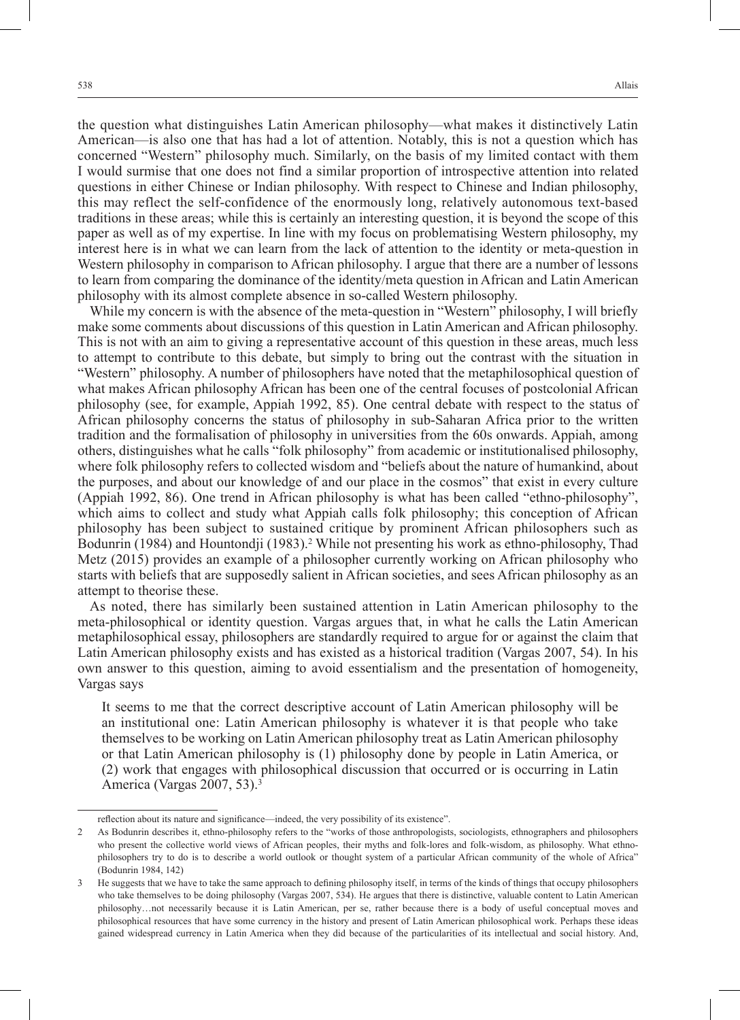the question what distinguishes Latin American philosophy—what makes it distinctively Latin American—is also one that has had a lot of attention. Notably, this is not a question which has concerned "Western" philosophy much. Similarly, on the basis of my limited contact with them I would surmise that one does not find a similar proportion of introspective attention into related questions in either Chinese or Indian philosophy. With respect to Chinese and Indian philosophy, this may reflect the self-confidence of the enormously long, relatively autonomous text-based traditions in these areas; while this is certainly an interesting question, it is beyond the scope of this paper as well as of my expertise. In line with my focus on problematising Western philosophy, my interest here is in what we can learn from the lack of attention to the identity or meta-question in Western philosophy in comparison to African philosophy. I argue that there are a number of lessons to learn from comparing the dominance of the identity/meta question in African and Latin American philosophy with its almost complete absence in so-called Western philosophy.

While my concern is with the absence of the meta-question in "Western" philosophy, I will briefly make some comments about discussions of this question in Latin American and African philosophy. This is not with an aim to giving a representative account of this question in these areas, much less to attempt to contribute to this debate, but simply to bring out the contrast with the situation in "Western" philosophy. A number of philosophers have noted that the metaphilosophical question of what makes African philosophy African has been one of the central focuses of postcolonial African philosophy (see, for example, Appiah 1992, 85). One central debate with respect to the status of African philosophy concerns the status of philosophy in sub-Saharan Africa prior to the written tradition and the formalisation of philosophy in universities from the 60s onwards. Appiah, among others, distinguishes what he calls "folk philosophy" from academic or institutionalised philosophy, where folk philosophy refers to collected wisdom and "beliefs about the nature of humankind, about the purposes, and about our knowledge of and our place in the cosmos" that exist in every culture (Appiah 1992, 86). One trend in African philosophy is what has been called "ethno-philosophy", which aims to collect and study what Appiah calls folk philosophy; this conception of African philosophy has been subject to sustained critique by prominent African philosophers such as Bodunrin (1984) and Hountondji (1983).<sup>2</sup> While not presenting his work as ethno-philosophy, Thad Metz (2015) provides an example of a philosopher currently working on African philosophy who starts with beliefs that are supposedly salient in African societies, and sees African philosophy as an attempt to theorise these.

As noted, there has similarly been sustained attention in Latin American philosophy to the meta-philosophical or identity question. Vargas argues that, in what he calls the Latin American metaphilosophical essay, philosophers are standardly required to argue for or against the claim that Latin American philosophy exists and has existed as a historical tradition (Vargas 2007, 54). In his own answer to this question, aiming to avoid essentialism and the presentation of homogeneity, Vargas says

It seems to me that the correct descriptive account of Latin American philosophy will be an institutional one: Latin American philosophy is whatever it is that people who take themselves to be working on Latin American philosophy treat as Latin American philosophy or that Latin American philosophy is (1) philosophy done by people in Latin America, or (2) work that engages with philosophical discussion that occurred or is occurring in Latin America (Vargas 2007, 53).3

reflection about its nature and significance—indeed, the very possibility of its existence".

<sup>2</sup> As Bodunrin describes it, ethno-philosophy refers to the "works of those anthropologists, sociologists, ethnographers and philosophers who present the collective world views of African peoples, their myths and folk-lores and folk-wisdom, as philosophy. What ethnophilosophers try to do is to describe a world outlook or thought system of a particular African community of the whole of Africa" (Bodunrin 1984, 142)

<sup>3</sup> He suggests that we have to take the same approach to defining philosophy itself, in terms of the kinds of things that occupy philosophers who take themselves to be doing philosophy (Vargas 2007, 534). He argues that there is distinctive, valuable content to Latin American philosophy…not necessarily because it is Latin American, per se, rather because there is a body of useful conceptual moves and philosophical resources that have some currency in the history and present of Latin American philosophical work. Perhaps these ideas gained widespread currency in Latin America when they did because of the particularities of its intellectual and social history. And,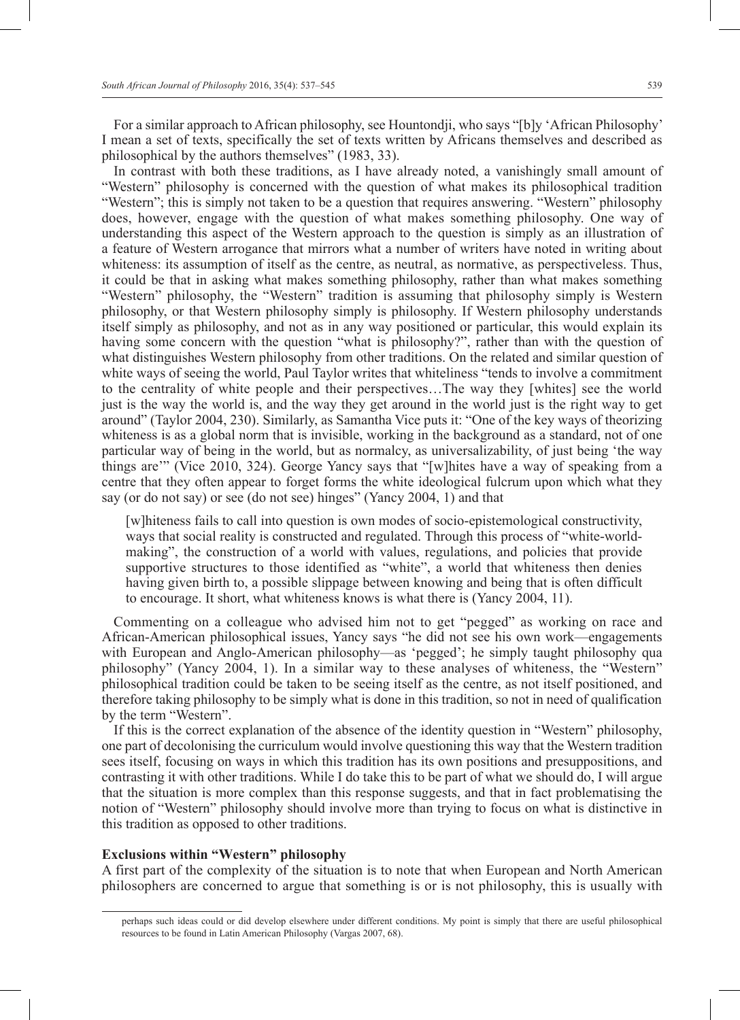For a similar approach to African philosophy, see Hountondji, who says "[b]y 'African Philosophy' I mean a set of texts, specifically the set of texts written by Africans themselves and described as philosophical by the authors themselves" (1983, 33).

In contrast with both these traditions, as I have already noted, a vanishingly small amount of "Western" philosophy is concerned with the question of what makes its philosophical tradition "Western"; this is simply not taken to be a question that requires answering. "Western" philosophy does, however, engage with the question of what makes something philosophy. One way of understanding this aspect of the Western approach to the question is simply as an illustration of a feature of Western arrogance that mirrors what a number of writers have noted in writing about whiteness: its assumption of itself as the centre, as neutral, as normative, as perspectiveless. Thus, it could be that in asking what makes something philosophy, rather than what makes something "Western" philosophy, the "Western" tradition is assuming that philosophy simply is Western philosophy, or that Western philosophy simply is philosophy. If Western philosophy understands itself simply as philosophy, and not as in any way positioned or particular, this would explain its having some concern with the question "what is philosophy?", rather than with the question of what distinguishes Western philosophy from other traditions. On the related and similar question of white ways of seeing the world, Paul Taylor writes that whiteliness "tends to involve a commitment to the centrality of white people and their perspectives…The way they [whites] see the world just is the way the world is, and the way they get around in the world just is the right way to get around" (Taylor 2004, 230). Similarly, as Samantha Vice puts it: "One of the key ways of theorizing whiteness is as a global norm that is invisible, working in the background as a standard, not of one particular way of being in the world, but as normalcy, as universalizability, of just being 'the way things are'" (Vice 2010, 324). George Yancy says that "[w]hites have a way of speaking from a centre that they often appear to forget forms the white ideological fulcrum upon which what they say (or do not say) or see (do not see) hinges" (Yancy 2004, 1) and that

[w]hiteness fails to call into question is own modes of socio-epistemological constructivity, ways that social reality is constructed and regulated. Through this process of "white-worldmaking", the construction of a world with values, regulations, and policies that provide supportive structures to those identified as "white", a world that whiteness then denies having given birth to, a possible slippage between knowing and being that is often difficult to encourage. It short, what whiteness knows is what there is (Yancy 2004, 11).

Commenting on a colleague who advised him not to get "pegged" as working on race and African-American philosophical issues, Yancy says "he did not see his own work—engagements with European and Anglo-American philosophy—as 'pegged'; he simply taught philosophy qua philosophy" (Yancy 2004, 1). In a similar way to these analyses of whiteness, the "Western" philosophical tradition could be taken to be seeing itself as the centre, as not itself positioned, and therefore taking philosophy to be simply what is done in this tradition, so not in need of qualification by the term "Western".

If this is the correct explanation of the absence of the identity question in "Western" philosophy, one part of decolonising the curriculum would involve questioning this way that the Western tradition sees itself, focusing on ways in which this tradition has its own positions and presuppositions, and contrasting it with other traditions. While I do take this to be part of what we should do, I will argue that the situation is more complex than this response suggests, and that in fact problematising the notion of "Western" philosophy should involve more than trying to focus on what is distinctive in this tradition as opposed to other traditions.

#### **Exclusions within "Western" philosophy**

A first part of the complexity of the situation is to note that when European and North American philosophers are concerned to argue that something is or is not philosophy, this is usually with

perhaps such ideas could or did develop elsewhere under different conditions. My point is simply that there are useful philosophical resources to be found in Latin American Philosophy (Vargas 2007, 68).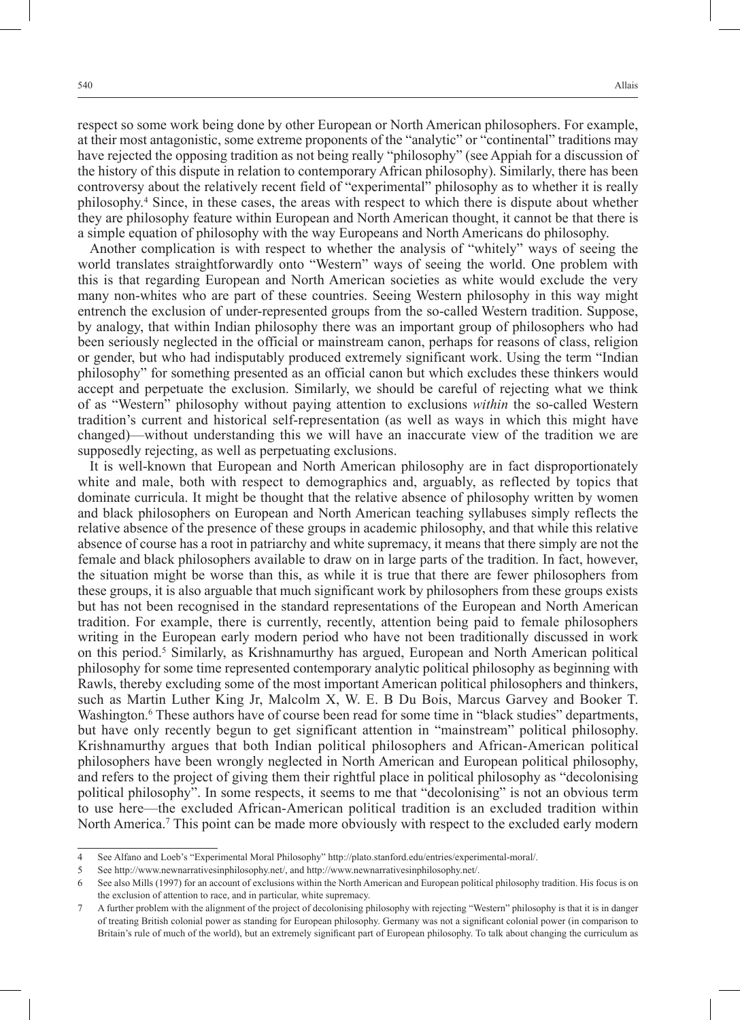respect so some work being done by other European or North American philosophers. For example, at their most antagonistic, some extreme proponents of the "analytic" or "continental" traditions may have rejected the opposing tradition as not being really "philosophy" (see Appiah for a discussion of the history of this dispute in relation to contemporary African philosophy). Similarly, there has been controversy about the relatively recent field of "experimental" philosophy as to whether it is really philosophy.4 Since, in these cases, the areas with respect to which there is dispute about whether they are philosophy feature within European and North American thought, it cannot be that there is a simple equation of philosophy with the way Europeans and North Americans do philosophy.

Another complication is with respect to whether the analysis of "whitely" ways of seeing the world translates straightforwardly onto "Western" ways of seeing the world. One problem with this is that regarding European and North American societies as white would exclude the very many non-whites who are part of these countries. Seeing Western philosophy in this way might entrench the exclusion of under-represented groups from the so-called Western tradition. Suppose, by analogy, that within Indian philosophy there was an important group of philosophers who had been seriously neglected in the official or mainstream canon, perhaps for reasons of class, religion or gender, but who had indisputably produced extremely significant work. Using the term "Indian philosophy" for something presented as an official canon but which excludes these thinkers would accept and perpetuate the exclusion. Similarly, we should be careful of rejecting what we think of as "Western" philosophy without paying attention to exclusions *within* the so-called Western tradition's current and historical self-representation (as well as ways in which this might have changed)—without understanding this we will have an inaccurate view of the tradition we are supposedly rejecting, as well as perpetuating exclusions.

It is well-known that European and North American philosophy are in fact disproportionately white and male, both with respect to demographics and, arguably, as reflected by topics that dominate curricula. It might be thought that the relative absence of philosophy written by women and black philosophers on European and North American teaching syllabuses simply reflects the relative absence of the presence of these groups in academic philosophy, and that while this relative absence of course has a root in patriarchy and white supremacy, it means that there simply are not the female and black philosophers available to draw on in large parts of the tradition. In fact, however, the situation might be worse than this, as while it is true that there are fewer philosophers from these groups, it is also arguable that much significant work by philosophers from these groups exists but has not been recognised in the standard representations of the European and North American tradition. For example, there is currently, recently, attention being paid to female philosophers writing in the European early modern period who have not been traditionally discussed in work on this period.5 Similarly, as Krishnamurthy has argued, European and North American political philosophy for some time represented contemporary analytic political philosophy as beginning with Rawls, thereby excluding some of the most important American political philosophers and thinkers, such as Martin Luther King Jr, Malcolm X, W. E. B Du Bois, Marcus Garvey and Booker T. Washington.<sup>6</sup> These authors have of course been read for some time in "black studies" departments, but have only recently begun to get significant attention in "mainstream" political philosophy. Krishnamurthy argues that both Indian political philosophers and African-American political philosophers have been wrongly neglected in North American and European political philosophy, and refers to the project of giving them their rightful place in political philosophy as "decolonising political philosophy". In some respects, it seems to me that "decolonising" is not an obvious term to use here—the excluded African-American political tradition is an excluded tradition within North America.7 This point can be made more obviously with respect to the excluded early modern

<sup>4</sup> See Alfano and Loeb's "Experimental Moral Philosophy" http://plato.stanford.edu/entries/experimental-moral/.

<sup>5</sup> See http://www.newnarrativesinphilosophy.net/, and http://www.newnarrativesinphilosophy.net/.

<sup>6</sup> See also Mills (1997) for an account of exclusions within the North American and European political philosophy tradition. His focus is on the exclusion of attention to race, and in particular, white supremacy.

<sup>7</sup> A further problem with the alignment of the project of decolonising philosophy with rejecting "Western" philosophy is that it is in danger of treating British colonial power as standing for European philosophy. Germany was not a significant colonial power (in comparison to Britain's rule of much of the world), but an extremely significant part of European philosophy. To talk about changing the curriculum as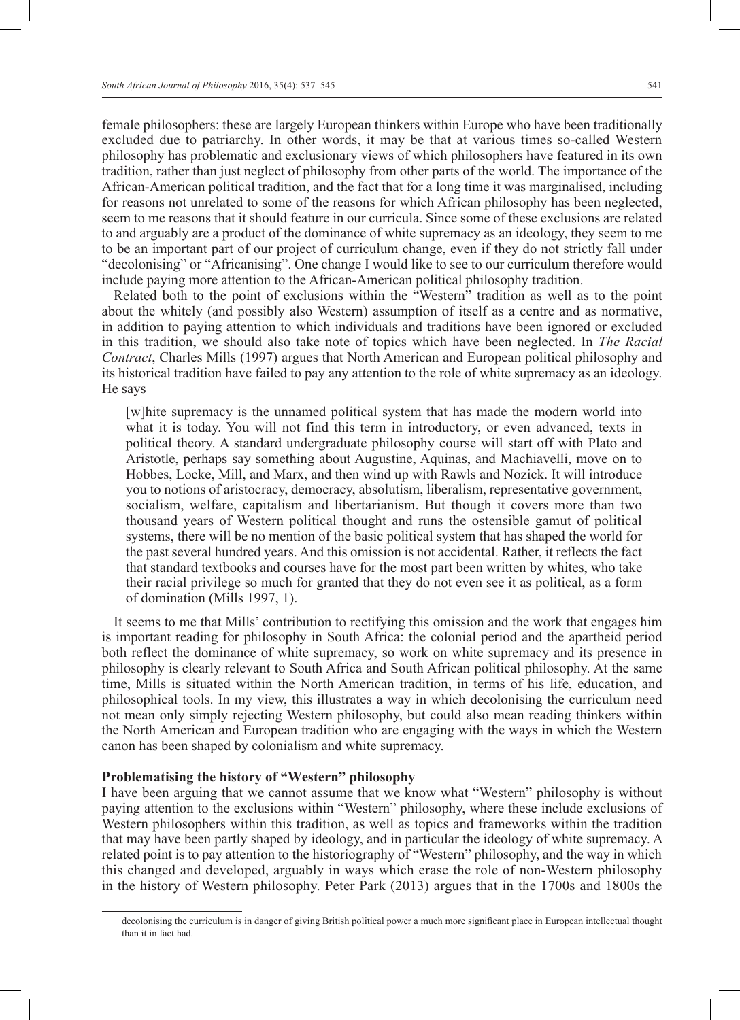female philosophers: these are largely European thinkers within Europe who have been traditionally excluded due to patriarchy. In other words, it may be that at various times so-called Western philosophy has problematic and exclusionary views of which philosophers have featured in its own tradition, rather than just neglect of philosophy from other parts of the world. The importance of the African-American political tradition, and the fact that for a long time it was marginalised, including for reasons not unrelated to some of the reasons for which African philosophy has been neglected, seem to me reasons that it should feature in our curricula. Since some of these exclusions are related to and arguably are a product of the dominance of white supremacy as an ideology, they seem to me to be an important part of our project of curriculum change, even if they do not strictly fall under "decolonising" or "Africanising". One change I would like to see to our curriculum therefore would include paying more attention to the African-American political philosophy tradition.

Related both to the point of exclusions within the "Western" tradition as well as to the point about the whitely (and possibly also Western) assumption of itself as a centre and as normative, in addition to paying attention to which individuals and traditions have been ignored or excluded in this tradition, we should also take note of topics which have been neglected. In *The Racial Contract*, Charles Mills (1997) argues that North American and European political philosophy and its historical tradition have failed to pay any attention to the role of white supremacy as an ideology. He says

[w]hite supremacy is the unnamed political system that has made the modern world into what it is today. You will not find this term in introductory, or even advanced, texts in political theory. A standard undergraduate philosophy course will start off with Plato and Aristotle, perhaps say something about Augustine, Aquinas, and Machiavelli, move on to Hobbes, Locke, Mill, and Marx, and then wind up with Rawls and Nozick. It will introduce you to notions of aristocracy, democracy, absolutism, liberalism, representative government, socialism, welfare, capitalism and libertarianism. But though it covers more than two thousand years of Western political thought and runs the ostensible gamut of political systems, there will be no mention of the basic political system that has shaped the world for the past several hundred years. And this omission is not accidental. Rather, it reflects the fact that standard textbooks and courses have for the most part been written by whites, who take their racial privilege so much for granted that they do not even see it as political, as a form of domination (Mills 1997, 1).

It seems to me that Mills' contribution to rectifying this omission and the work that engages him is important reading for philosophy in South Africa: the colonial period and the apartheid period both reflect the dominance of white supremacy, so work on white supremacy and its presence in philosophy is clearly relevant to South Africa and South African political philosophy. At the same time, Mills is situated within the North American tradition, in terms of his life, education, and philosophical tools. In my view, this illustrates a way in which decolonising the curriculum need not mean only simply rejecting Western philosophy, but could also mean reading thinkers within the North American and European tradition who are engaging with the ways in which the Western canon has been shaped by colonialism and white supremacy.

#### **Problematising the history of "Western" philosophy**

I have been arguing that we cannot assume that we know what "Western" philosophy is without paying attention to the exclusions within "Western" philosophy, where these include exclusions of Western philosophers within this tradition, as well as topics and frameworks within the tradition that may have been partly shaped by ideology, and in particular the ideology of white supremacy. A related point is to pay attention to the historiography of "Western" philosophy, and the way in which this changed and developed, arguably in ways which erase the role of non-Western philosophy in the history of Western philosophy. Peter Park (2013) argues that in the 1700s and 1800s the

decolonising the curriculum is in danger of giving British political power a much more significant place in European intellectual thought than it in fact had.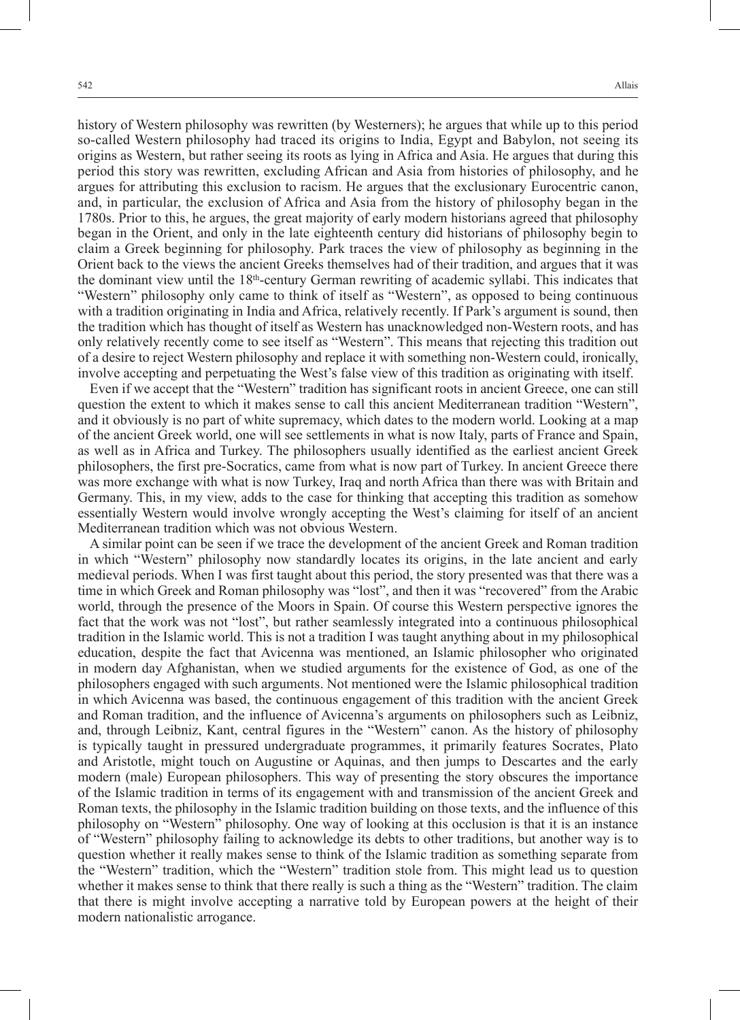history of Western philosophy was rewritten (by Westerners); he argues that while up to this period so-called Western philosophy had traced its origins to India, Egypt and Babylon, not seeing its origins as Western, but rather seeing its roots as lying in Africa and Asia. He argues that during this period this story was rewritten, excluding African and Asia from histories of philosophy, and he argues for attributing this exclusion to racism. He argues that the exclusionary Eurocentric canon, and, in particular, the exclusion of Africa and Asia from the history of philosophy began in the 1780s. Prior to this, he argues, the great majority of early modern historians agreed that philosophy began in the Orient, and only in the late eighteenth century did historians of philosophy begin to claim a Greek beginning for philosophy. Park traces the view of philosophy as beginning in the Orient back to the views the ancient Greeks themselves had of their tradition, and argues that it was the dominant view until the 18th-century German rewriting of academic syllabi. This indicates that "Western" philosophy only came to think of itself as "Western", as opposed to being continuous with a tradition originating in India and Africa, relatively recently. If Park's argument is sound, then the tradition which has thought of itself as Western has unacknowledged non-Western roots, and has only relatively recently come to see itself as "Western". This means that rejecting this tradition out of a desire to reject Western philosophy and replace it with something non-Western could, ironically, involve accepting and perpetuating the West's false view of this tradition as originating with itself.

Even if we accept that the "Western" tradition has significant roots in ancient Greece, one can still question the extent to which it makes sense to call this ancient Mediterranean tradition "Western", and it obviously is no part of white supremacy, which dates to the modern world. Looking at a map of the ancient Greek world, one will see settlements in what is now Italy, parts of France and Spain, as well as in Africa and Turkey. The philosophers usually identified as the earliest ancient Greek philosophers, the first pre-Socratics, came from what is now part of Turkey. In ancient Greece there was more exchange with what is now Turkey, Iraq and north Africa than there was with Britain and Germany. This, in my view, adds to the case for thinking that accepting this tradition as somehow essentially Western would involve wrongly accepting the West's claiming for itself of an ancient Mediterranean tradition which was not obvious Western.

A similar point can be seen if we trace the development of the ancient Greek and Roman tradition in which "Western" philosophy now standardly locates its origins, in the late ancient and early medieval periods. When I was first taught about this period, the story presented was that there was a time in which Greek and Roman philosophy was "lost", and then it was "recovered" from the Arabic world, through the presence of the Moors in Spain. Of course this Western perspective ignores the fact that the work was not "lost", but rather seamlessly integrated into a continuous philosophical tradition in the Islamic world. This is not a tradition I was taught anything about in my philosophical education, despite the fact that Avicenna was mentioned, an Islamic philosopher who originated in modern day Afghanistan, when we studied arguments for the existence of God, as one of the philosophers engaged with such arguments. Not mentioned were the Islamic philosophical tradition in which Avicenna was based, the continuous engagement of this tradition with the ancient Greek and Roman tradition, and the influence of Avicenna's arguments on philosophers such as Leibniz, and, through Leibniz, Kant, central figures in the "Western" canon. As the history of philosophy is typically taught in pressured undergraduate programmes, it primarily features Socrates, Plato and Aristotle, might touch on Augustine or Aquinas, and then jumps to Descartes and the early modern (male) European philosophers. This way of presenting the story obscures the importance of the Islamic tradition in terms of its engagement with and transmission of the ancient Greek and Roman texts, the philosophy in the Islamic tradition building on those texts, and the influence of this philosophy on "Western" philosophy. One way of looking at this occlusion is that it is an instance of "Western" philosophy failing to acknowledge its debts to other traditions, but another way is to question whether it really makes sense to think of the Islamic tradition as something separate from the "Western" tradition, which the "Western" tradition stole from. This might lead us to question whether it makes sense to think that there really is such a thing as the "Western" tradition. The claim that there is might involve accepting a narrative told by European powers at the height of their modern nationalistic arrogance.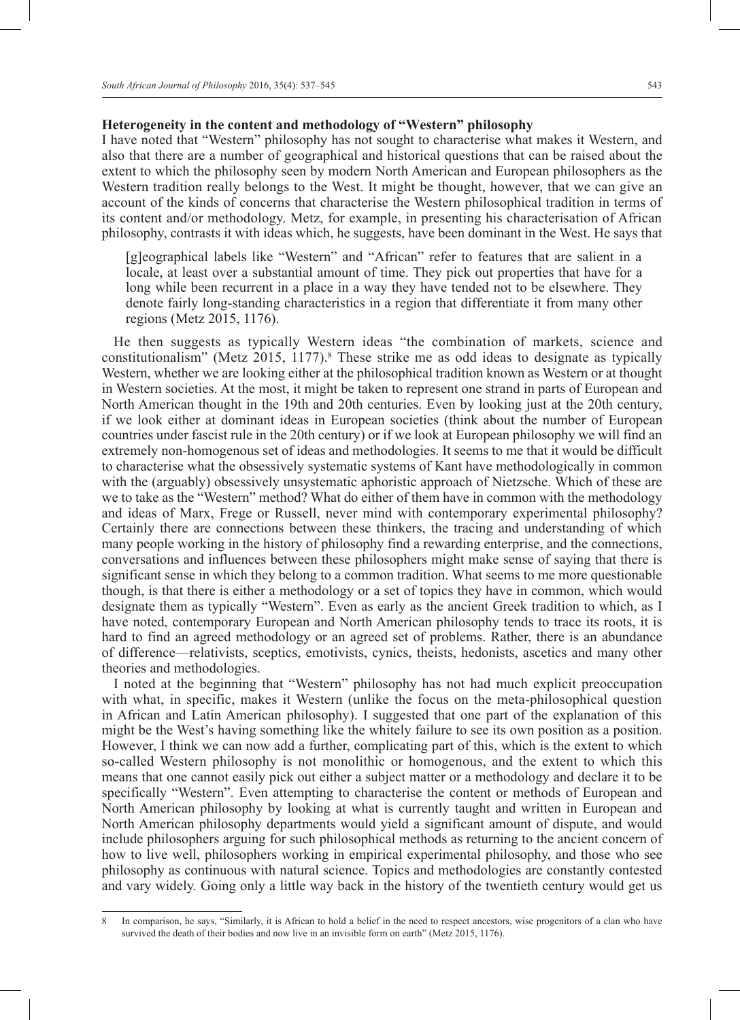#### **Heterogeneity in the content and methodology of "Western" philosophy**

I have noted that "Western" philosophy has not sought to characterise what makes it Western, and also that there are a number of geographical and historical questions that can be raised about the extent to which the philosophy seen by modern North American and European philosophers as the Western tradition really belongs to the West. It might be thought, however, that we can give an account of the kinds of concerns that characterise the Western philosophical tradition in terms of its content and/or methodology. Metz, for example, in presenting his characterisation of African philosophy, contrasts it with ideas which, he suggests, have been dominant in the West. He says that

[g]eographical labels like "Western" and "African" refer to features that are salient in a locale, at least over a substantial amount of time. They pick out properties that have for a long while been recurrent in a place in a way they have tended not to be elsewhere. They denote fairly long-standing characteristics in a region that differentiate it from many other regions (Metz 2015, 1176).

He then suggests as typically Western ideas "the combination of markets, science and constitutionalism" (Metz 2015, 1177).<sup>8</sup> These strike me as odd ideas to designate as typically Western, whether we are looking either at the philosophical tradition known as Western or at thought in Western societies. At the most, it might be taken to represent one strand in parts of European and North American thought in the 19th and 20th centuries. Even by looking just at the 20th century, if we look either at dominant ideas in European societies (think about the number of European countries under fascist rule in the 20th century) or if we look at European philosophy we will find an extremely non-homogenous set of ideas and methodologies. It seems to me that it would be difficult to characterise what the obsessively systematic systems of Kant have methodologically in common with the (arguably) obsessively unsystematic aphoristic approach of Nietzsche. Which of these are we to take as the "Western" method? What do either of them have in common with the methodology and ideas of Marx, Frege or Russell, never mind with contemporary experimental philosophy? Certainly there are connections between these thinkers, the tracing and understanding of which many people working in the history of philosophy find a rewarding enterprise, and the connections, conversations and influences between these philosophers might make sense of saying that there is significant sense in which they belong to a common tradition. What seems to me more questionable though, is that there is either a methodology or a set of topics they have in common, which would designate them as typically "Western". Even as early as the ancient Greek tradition to which, as I have noted, contemporary European and North American philosophy tends to trace its roots, it is hard to find an agreed methodology or an agreed set of problems. Rather, there is an abundance of difference—relativists, sceptics, emotivists, cynics, theists, hedonists, ascetics and many other theories and methodologies.

I noted at the beginning that "Western" philosophy has not had much explicit preoccupation with what, in specific, makes it Western (unlike the focus on the meta-philosophical question in African and Latin American philosophy). I suggested that one part of the explanation of this might be the West's having something like the whitely failure to see its own position as a position. However, I think we can now add a further, complicating part of this, which is the extent to which so-called Western philosophy is not monolithic or homogenous, and the extent to which this means that one cannot easily pick out either a subject matter or a methodology and declare it to be specifically "Western". Even attempting to characterise the content or methods of European and North American philosophy by looking at what is currently taught and written in European and North American philosophy departments would yield a significant amount of dispute, and would include philosophers arguing for such philosophical methods as returning to the ancient concern of how to live well, philosophers working in empirical experimental philosophy, and those who see philosophy as continuous with natural science. Topics and methodologies are constantly contested and vary widely. Going only a little way back in the history of the twentieth century would get us

<sup>8</sup> In comparison, he says, "Similarly, it is African to hold a belief in the need to respect ancestors, wise progenitors of a clan who have survived the death of their bodies and now live in an invisible form on earth" (Metz 2015, 1176).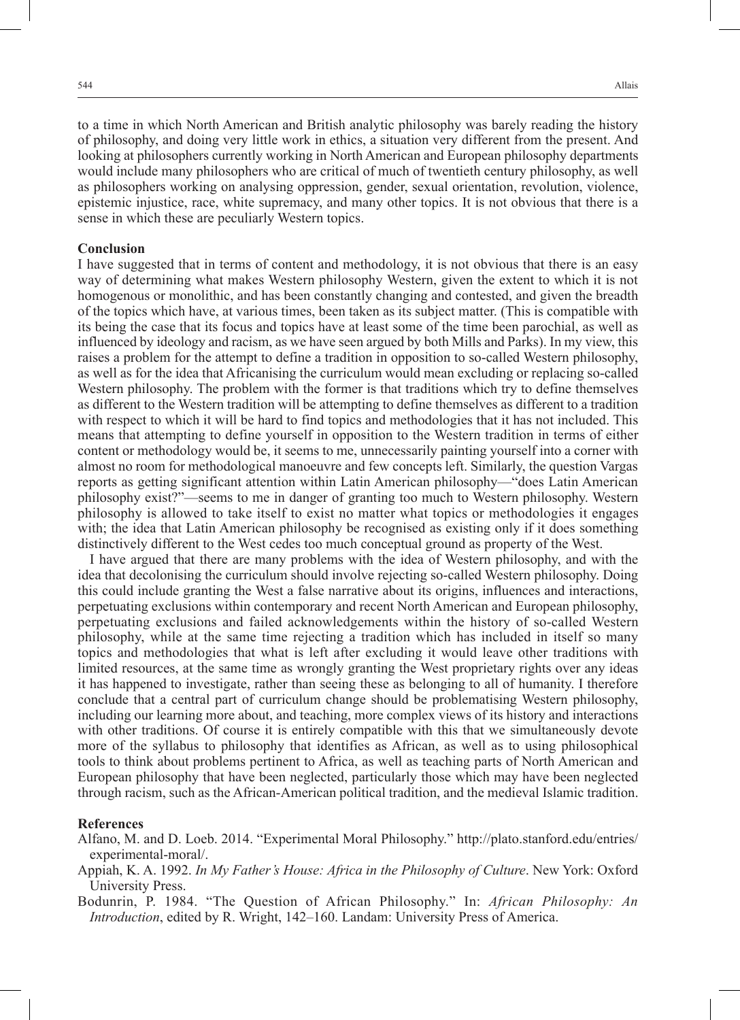to a time in which North American and British analytic philosophy was barely reading the history of philosophy, and doing very little work in ethics, a situation very different from the present. And looking at philosophers currently working in North American and European philosophy departments would include many philosophers who are critical of much of twentieth century philosophy, as well as philosophers working on analysing oppression, gender, sexual orientation, revolution, violence, epistemic injustice, race, white supremacy, and many other topics. It is not obvious that there is a sense in which these are peculiarly Western topics.

#### **Conclusion**

I have suggested that in terms of content and methodology, it is not obvious that there is an easy way of determining what makes Western philosophy Western, given the extent to which it is not homogenous or monolithic, and has been constantly changing and contested, and given the breadth of the topics which have, at various times, been taken as its subject matter. (This is compatible with its being the case that its focus and topics have at least some of the time been parochial, as well as influenced by ideology and racism, as we have seen argued by both Mills and Parks). In my view, this raises a problem for the attempt to define a tradition in opposition to so-called Western philosophy, as well as for the idea that Africanising the curriculum would mean excluding or replacing so-called Western philosophy. The problem with the former is that traditions which try to define themselves as different to the Western tradition will be attempting to define themselves as different to a tradition with respect to which it will be hard to find topics and methodologies that it has not included. This means that attempting to define yourself in opposition to the Western tradition in terms of either content or methodology would be, it seems to me, unnecessarily painting yourself into a corner with almost no room for methodological manoeuvre and few concepts left. Similarly, the question Vargas reports as getting significant attention within Latin American philosophy—"does Latin American philosophy exist?"—seems to me in danger of granting too much to Western philosophy. Western philosophy is allowed to take itself to exist no matter what topics or methodologies it engages with; the idea that Latin American philosophy be recognised as existing only if it does something distinctively different to the West cedes too much conceptual ground as property of the West.

I have argued that there are many problems with the idea of Western philosophy, and with the idea that decolonising the curriculum should involve rejecting so-called Western philosophy. Doing this could include granting the West a false narrative about its origins, influences and interactions, perpetuating exclusions within contemporary and recent North American and European philosophy, perpetuating exclusions and failed acknowledgements within the history of so-called Western philosophy, while at the same time rejecting a tradition which has included in itself so many topics and methodologies that what is left after excluding it would leave other traditions with limited resources, at the same time as wrongly granting the West proprietary rights over any ideas it has happened to investigate, rather than seeing these as belonging to all of humanity. I therefore conclude that a central part of curriculum change should be problematising Western philosophy, including our learning more about, and teaching, more complex views of its history and interactions with other traditions. Of course it is entirely compatible with this that we simultaneously devote more of the syllabus to philosophy that identifies as African, as well as to using philosophical tools to think about problems pertinent to Africa, as well as teaching parts of North American and European philosophy that have been neglected, particularly those which may have been neglected through racism, such as the African-American political tradition, and the medieval Islamic tradition.

#### **References**

- Alfano, M. and D. Loeb. 2014. "Experimental Moral Philosophy." http://plato.stanford.edu/entries/ experimental-moral/.
- Appiah, K. A. 1992. *In My Father's House: Africa in the Philosophy of Culture*. New York: Oxford University Press.
- Bodunrin, P. 1984. "The Question of African Philosophy." In: *African Philosophy: An Introduction*, edited by R. Wright, 142–160. Landam: University Press of America.